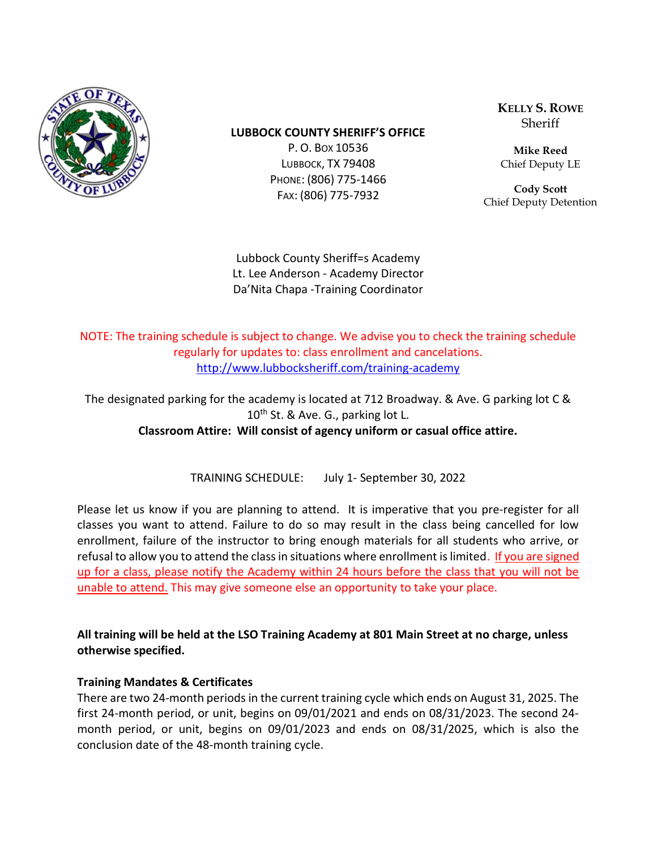

#### LUBBOCK COUNTY SHERIFF'S OFFICE

P. O. BOX 10536 LUBBOCK, TX 79408 PHONE: (806) 775-1466 FAX: (806) 775-7932

KELLY S. ROWE Sheriff

Mike Reed Chief Deputy LE

Cody Scott Chief Deputy Detention

Lubbock County Sheriff=s Academy Lt. Lee Anderson - Academy Director Da'Nita Chapa -Training Coordinator

NOTE: The training schedule is subject to change. We advise you to check the training schedule regularly for updates to: class enrollment and cancelations. http://www.lubbocksheriff.com/training-academy

The designated parking for the academy is located at 712 Broadway. & Ave. G parking lot C & 10<sup>th</sup> St. & Ave. G., parking lot L. Classroom Attire: Will consist of agency uniform or casual office attire.

TRAINING SCHEDULE: July 1- September 30, 2022

Please let us know if you are planning to attend. It is imperative that you pre-register for all classes you want to attend. Failure to do so may result in the class being cancelled for low enrollment, failure of the instructor to bring enough materials for all students who arrive, or refusal to allow you to attend the class in situations where enrollment is limited. If you are signed up for a class, please notify the Academy within 24 hours before the class that you will not be unable to attend. This may give someone else an opportunity to take your place.

All training will be held at the LSO Training Academy at 801 Main Street at no charge, unless otherwise specified.

#### Training Mandates & Certificates

There are two 24-month periods in the current training cycle which ends on August 31, 2025. The first 24-month period, or unit, begins on 09/01/2021 and ends on 08/31/2023. The second 24 month period, or unit, begins on 09/01/2023 and ends on 08/31/2025, which is also the conclusion date of the 48-month training cycle.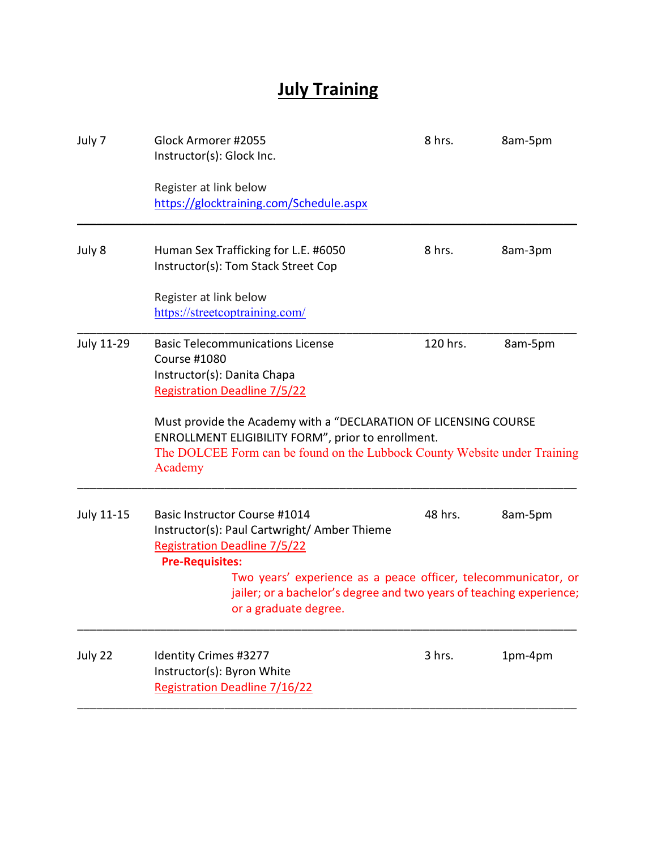# **July Training**

| July 7     | Glock Armorer #2055<br>Instructor(s): Glock Inc.                                                                                                                                                                                                                                                                                                | 8 hrs.   | 8am-5pm |
|------------|-------------------------------------------------------------------------------------------------------------------------------------------------------------------------------------------------------------------------------------------------------------------------------------------------------------------------------------------------|----------|---------|
|            | Register at link below<br>https://glocktraining.com/Schedule.aspx                                                                                                                                                                                                                                                                               |          |         |
| July 8     | Human Sex Trafficking for L.E. #6050<br>Instructor(s): Tom Stack Street Cop                                                                                                                                                                                                                                                                     | 8 hrs.   | 8am-3pm |
|            | Register at link below<br>https://streetcoptraining.com/                                                                                                                                                                                                                                                                                        |          |         |
| July 11-29 | <b>Basic Telecommunications License</b><br>Course #1080<br>Instructor(s): Danita Chapa<br><b>Registration Deadline 7/5/22</b><br>Must provide the Academy with a "DECLARATION OF LICENSING COURSE<br>ENROLLMENT ELIGIBILITY FORM", prior to enrollment.<br>The DOLCEE Form can be found on the Lubbock County Website under Training<br>Academy | 120 hrs. | 8am-5pm |
| July 11-15 | Basic Instructor Course #1014<br>Instructor(s): Paul Cartwright/ Amber Thieme<br><b>Registration Deadline 7/5/22</b><br><b>Pre-Requisites:</b><br>Two years' experience as a peace officer, telecommunicator, or<br>jailer; or a bachelor's degree and two years of teaching experience;<br>or a graduate degree.                               | 48 hrs.  | 8am-5pm |
| July 22    | Identity Crimes #3277<br>Instructor(s): Byron White<br>Registration Deadline 7/16/22                                                                                                                                                                                                                                                            | 3 hrs.   | 1pm-4pm |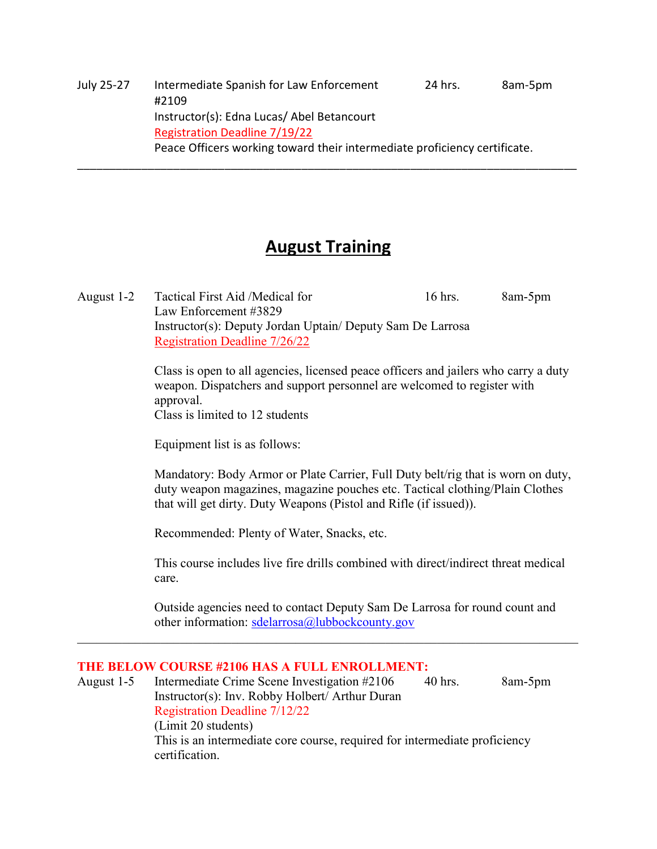July 25-27 Intermediate Spanish for Law Enforcement 24 hrs. 8am-5pm #2109 Instructor(s): Edna Lucas/ Abel Betancourt Registration Deadline 7/19/22 Peace Officers working toward their intermediate proficiency certificate.

### August Training

\_\_\_\_\_\_\_\_\_\_\_\_\_\_\_\_\_\_\_\_\_\_\_\_\_\_\_\_\_\_\_\_\_\_\_\_\_\_\_\_\_\_\_\_\_\_\_\_\_\_\_\_\_\_\_\_\_\_\_\_\_\_\_\_\_\_\_\_\_\_\_\_\_\_\_\_\_\_

August 1-2 Tactical First Aid /Medical for 16 hrs. 8am-5pm Law Enforcement #3829 Instructor(s): Deputy Jordan Uptain/ Deputy Sam De Larrosa Registration Deadline 7/26/22

> Class is open to all agencies, licensed peace officers and jailers who carry a duty weapon. Dispatchers and support personnel are welcomed to register with approval.

Class is limited to 12 students

Equipment list is as follows:

Mandatory: Body Armor or Plate Carrier, Full Duty belt/rig that is worn on duty, duty weapon magazines, magazine pouches etc. Tactical clothing/Plain Clothes that will get dirty. Duty Weapons (Pistol and Rifle (if issued)).

Recommended: Plenty of Water, Snacks, etc.

This course includes live fire drills combined with direct/indirect threat medical care.

Outside agencies need to contact Deputy Sam De Larrosa for round count and other information: sdelarrosa@lubbockcounty.gov

#### THE BELOW COURSE #2106 HAS A FULL ENROLLMENT:

August 1-5 Intermediate Crime Scene Investigation #2106 40 hrs. 8am-5pm Instructor(s): Inv. Robby Holbert/ Arthur Duran Registration Deadline 7/12/22 (Limit 20 students) This is an intermediate core course, required for intermediate proficiency certification.

 $\mathcal{L}_\mathcal{L} = \mathcal{L}_\mathcal{L} = \mathcal{L}_\mathcal{L} = \mathcal{L}_\mathcal{L} = \mathcal{L}_\mathcal{L} = \mathcal{L}_\mathcal{L} = \mathcal{L}_\mathcal{L} = \mathcal{L}_\mathcal{L} = \mathcal{L}_\mathcal{L} = \mathcal{L}_\mathcal{L} = \mathcal{L}_\mathcal{L} = \mathcal{L}_\mathcal{L} = \mathcal{L}_\mathcal{L} = \mathcal{L}_\mathcal{L} = \mathcal{L}_\mathcal{L} = \mathcal{L}_\mathcal{L} = \mathcal{L}_\mathcal{L}$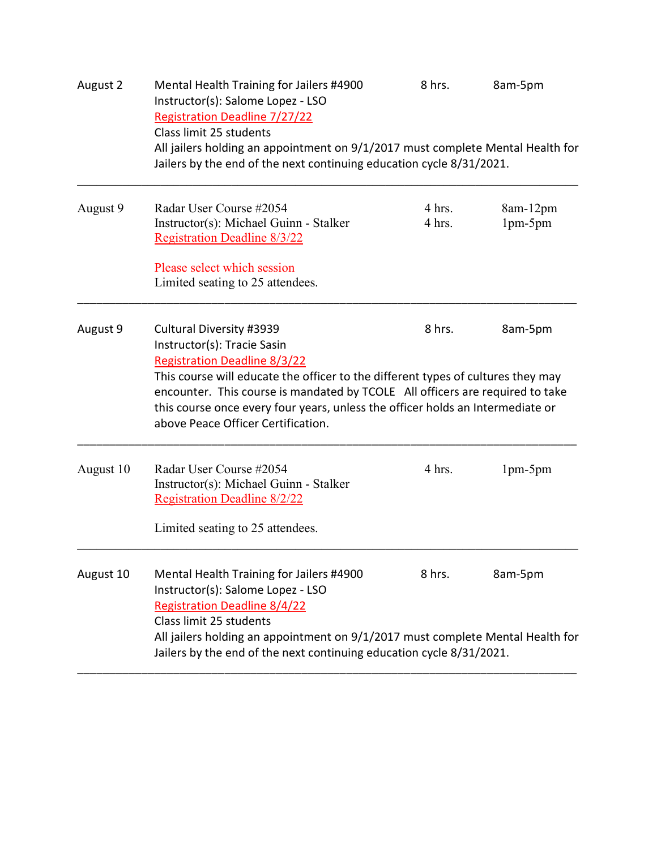| August 2  | Mental Health Training for Jailers #4900<br>Instructor(s): Salome Lopez - LSO<br><b>Registration Deadline 7/27/22</b><br>Class limit 25 students                                                                                                                                                                                                                                            | 8 hrs.           | 8am-5pm               |  |
|-----------|---------------------------------------------------------------------------------------------------------------------------------------------------------------------------------------------------------------------------------------------------------------------------------------------------------------------------------------------------------------------------------------------|------------------|-----------------------|--|
|           | All jailers holding an appointment on 9/1/2017 must complete Mental Health for<br>Jailers by the end of the next continuing education cycle 8/31/2021.                                                                                                                                                                                                                                      |                  |                       |  |
| August 9  | Radar User Course #2054<br>Instructor(s): Michael Guinn - Stalker<br><b>Registration Deadline 8/3/22</b>                                                                                                                                                                                                                                                                                    | 4 hrs.<br>4 hrs. | 8am-12pm<br>$1pm-5pm$ |  |
|           | Please select which session<br>Limited seating to 25 attendees.                                                                                                                                                                                                                                                                                                                             |                  |                       |  |
| August 9  | Cultural Diversity #3939<br>Instructor(s): Tracie Sasin<br><b>Registration Deadline 8/3/22</b><br>This course will educate the officer to the different types of cultures they may<br>encounter. This course is mandated by TCOLE All officers are required to take<br>this course once every four years, unless the officer holds an Intermediate or<br>above Peace Officer Certification. | 8 hrs.           | 8am-5pm               |  |
| August 10 | Radar User Course #2054<br>Instructor(s): Michael Guinn - Stalker<br><b>Registration Deadline 8/2/22</b><br>Limited seating to 25 attendees.                                                                                                                                                                                                                                                | 4 hrs.           | $1pm-5pm$             |  |
| August 10 | Mental Health Training for Jailers #4900<br>Instructor(s): Salome Lopez - LSO<br><b>Registration Deadline 8/4/22</b><br>Class limit 25 students<br>All jailers holding an appointment on 9/1/2017 must complete Mental Health for<br>Jailers by the end of the next continuing education cycle 8/31/2021.                                                                                   | 8 hrs.           | 8am-5pm               |  |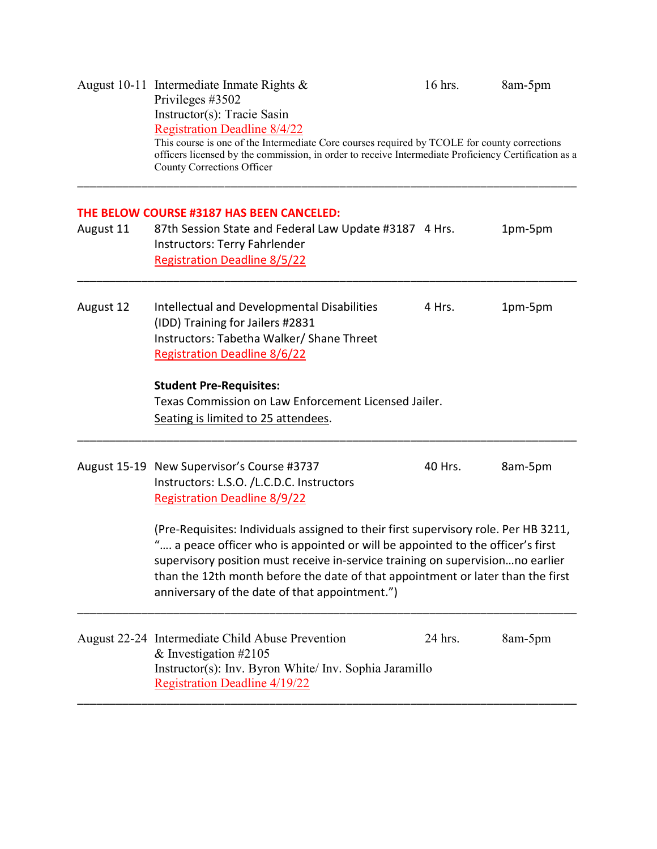|           | August 10-11 Intermediate Inmate Rights $\&$<br>Privileges #3502<br>Instructor(s): Tracie Sasin<br><b>Registration Deadline 8/4/22</b><br>This course is one of the Intermediate Core courses required by TCOLE for county corrections<br>officers licensed by the commission, in order to receive Intermediate Proficiency Certification as a<br>County Corrections Officer                 | 16 hrs. | 8am-5pm |  |  |
|-----------|----------------------------------------------------------------------------------------------------------------------------------------------------------------------------------------------------------------------------------------------------------------------------------------------------------------------------------------------------------------------------------------------|---------|---------|--|--|
|           | THE BELOW COURSE #3187 HAS BEEN CANCELED:                                                                                                                                                                                                                                                                                                                                                    |         |         |  |  |
| August 11 | 87th Session State and Federal Law Update #3187 4 Hrs.<br>Instructors: Terry Fahrlender<br><b>Registration Deadline 8/5/22</b>                                                                                                                                                                                                                                                               |         | 1pm-5pm |  |  |
| August 12 | Intellectual and Developmental Disabilities<br>(IDD) Training for Jailers #2831<br>Instructors: Tabetha Walker/ Shane Threet<br><b>Registration Deadline 8/6/22</b>                                                                                                                                                                                                                          | 4 Hrs.  | 1pm-5pm |  |  |
|           | <b>Student Pre-Requisites:</b>                                                                                                                                                                                                                                                                                                                                                               |         |         |  |  |
|           | Texas Commission on Law Enforcement Licensed Jailer.<br>Seating is limited to 25 attendees.                                                                                                                                                                                                                                                                                                  |         |         |  |  |
|           | August 15-19 New Supervisor's Course #3737<br>Instructors: L.S.O. /L.C.D.C. Instructors<br><b>Registration Deadline 8/9/22</b>                                                                                                                                                                                                                                                               | 40 Hrs. | 8am-5pm |  |  |
|           | (Pre-Requisites: Individuals assigned to their first supervisory role. Per HB 3211,<br>" a peace officer who is appointed or will be appointed to the officer's first<br>supervisory position must receive in-service training on supervisionno earlier<br>than the 12th month before the date of that appointment or later than the first<br>anniversary of the date of that appointment.") |         |         |  |  |
|           | August 22-24 Intermediate Child Abuse Prevention<br>& Investigation $\#2105$<br>Instructor(s): Inv. Byron White/ Inv. Sophia Jaramillo<br><b>Registration Deadline 4/19/22</b>                                                                                                                                                                                                               | 24 hrs. | 8am-5pm |  |  |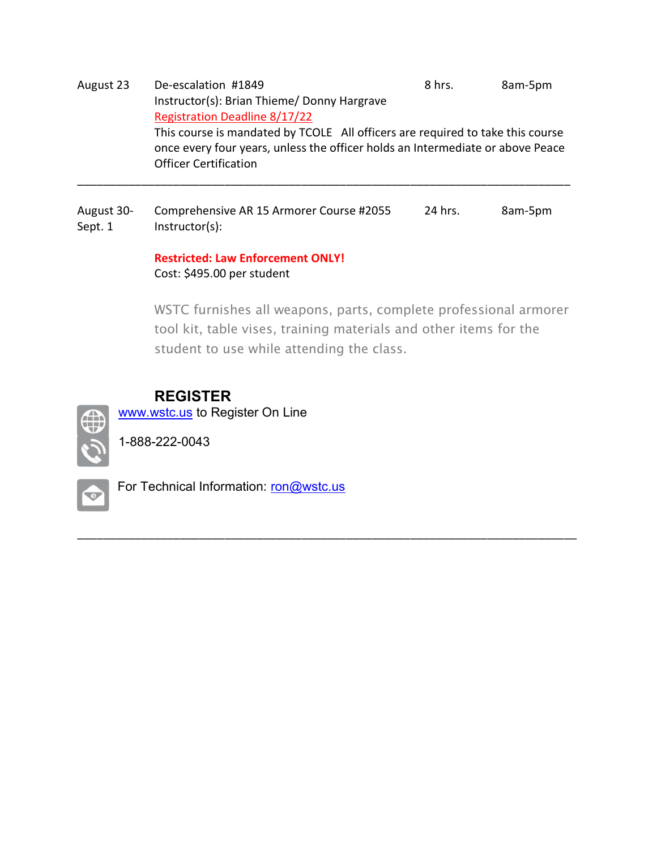August 23 De-escalation #1849 8hrs. 8am-5pm Instructor(s): Brian Thieme/ Donny Hargrave Registration Deadline 8/17/22 This course is mandated by TCOLE All officers are required to take this course once every four years, unless the officer holds an Intermediate or above Peace Officer Certification \_\_\_\_\_\_\_\_\_\_\_\_\_\_\_\_\_\_\_\_\_\_\_\_\_\_\_\_\_\_\_\_\_\_\_\_\_\_\_\_\_\_\_\_\_\_\_\_\_\_\_\_\_\_\_\_\_\_\_\_\_\_\_\_\_\_\_\_\_\_\_\_\_\_\_\_\_

August 30- Comprehensive AR 15 Armorer Course #2055 24 hrs. 8am-5pm Sept. 1 Instructor(s):

### Restricted: Law Enforcement ONLY! Cost: \$495.00 per student

WSTC furnishes all weapons, parts, complete professional armorer tool kit, table vises, training materials and other items for the student to use while attending the class.

\_\_\_\_\_\_\_\_\_\_\_\_\_\_\_\_\_\_\_\_\_\_\_\_\_\_\_\_\_\_\_\_\_\_\_\_\_\_\_\_\_\_\_\_\_\_\_\_\_\_\_\_\_\_\_\_\_\_\_\_\_\_\_\_\_\_\_\_\_\_\_\_\_\_\_\_\_\_

### REGISTER

www.wstc.us to Register On Line



1-888-222-0043



For Technical Information: ron@wstc.us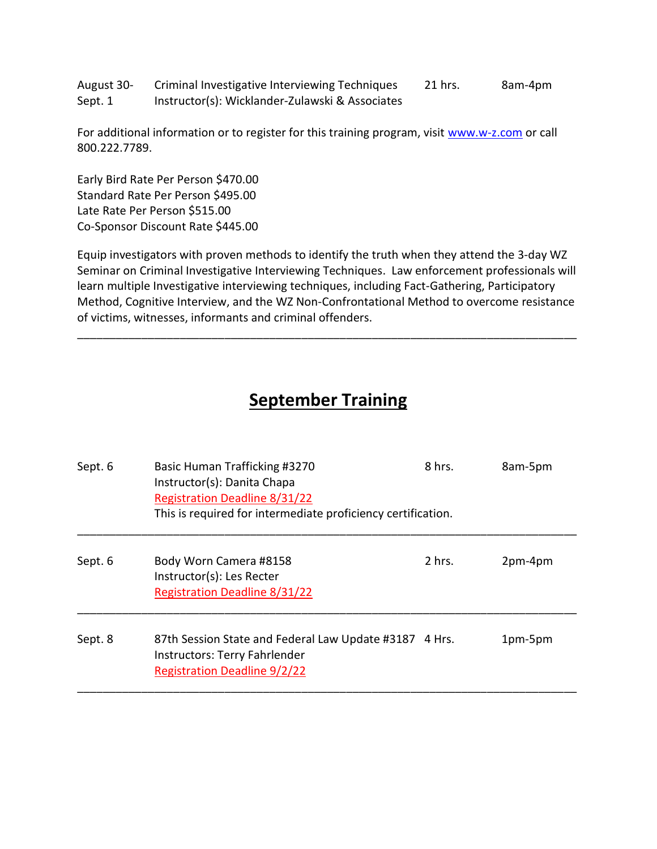August 30- Criminal Investigative Interviewing Techniques 21 hrs. 8am-4pm Sept. 1 Instructor(s): Wicklander-Zulawski & Associates

For additional information or to register for this training program, visit www.w-z.com or call 800.222.7789.

Early Bird Rate Per Person \$470.00 Standard Rate Per Person \$495.00 Late Rate Per Person \$515.00 Co-Sponsor Discount Rate \$445.00

Equip investigators with proven methods to identify the truth when they attend the 3-day WZ Seminar on Criminal Investigative Interviewing Techniques. Law enforcement professionals will learn multiple Investigative interviewing techniques, including Fact-Gathering, Participatory Method, Cognitive Interview, and the WZ Non-Confrontational Method to overcome resistance of victims, witnesses, informants and criminal offenders.

\_\_\_\_\_\_\_\_\_\_\_\_\_\_\_\_\_\_\_\_\_\_\_\_\_\_\_\_\_\_\_\_\_\_\_\_\_\_\_\_\_\_\_\_\_\_\_\_\_\_\_\_\_\_\_\_\_\_\_\_\_\_\_\_\_\_\_\_\_\_\_\_\_\_\_\_\_\_

## September Training

| Sept. 6 | Basic Human Trafficking #3270<br>Instructor(s): Danita Chapa<br><b>Registration Deadline 8/31/22</b><br>This is required for intermediate proficiency certification. | 8 hrs. | 8am-5pm |
|---------|----------------------------------------------------------------------------------------------------------------------------------------------------------------------|--------|---------|
| Sept. 6 | Body Worn Camera #8158<br>Instructor(s): Les Recter<br><b>Registration Deadline 8/31/22</b>                                                                          | 2 hrs. | 2pm-4pm |
| Sept. 8 | 87th Session State and Federal Law Update #3187 4 Hrs.<br>Instructors: Terry Fahrlender<br><b>Registration Deadline 9/2/22</b>                                       |        | 1pm-5pm |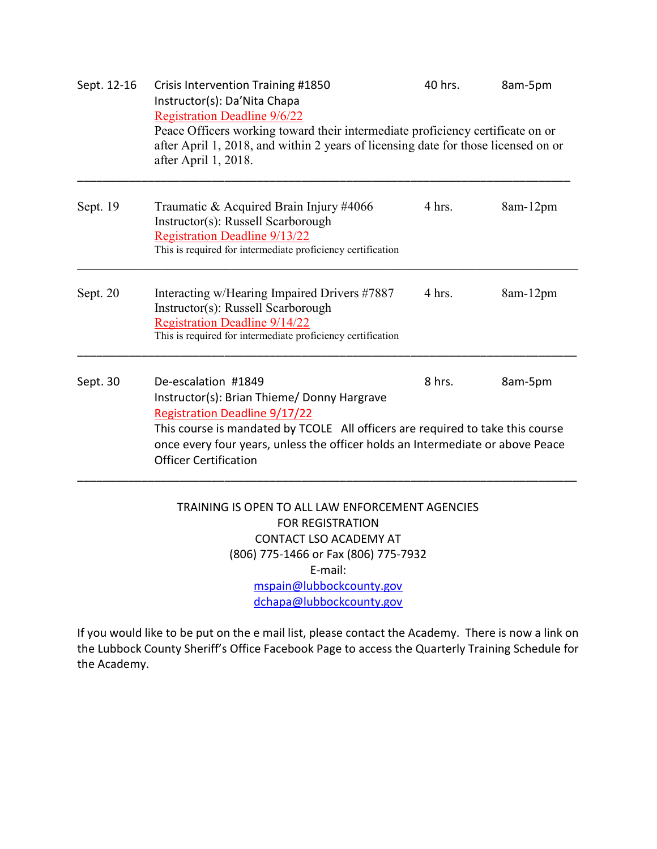| Sept. 12-16 | <b>Crisis Intervention Training #1850</b><br>Instructor(s): Da'Nita Chapa<br><b>Registration Deadline 9/6/22</b><br>Peace Officers working toward their intermediate proficiency certificate on or<br>after April 1, 2018, and within 2 years of licensing date for those licensed on or<br>after April 1, 2018. | 40 hrs. | 8am-5pm  |
|-------------|------------------------------------------------------------------------------------------------------------------------------------------------------------------------------------------------------------------------------------------------------------------------------------------------------------------|---------|----------|
| Sept. 19    | Traumatic & Acquired Brain Injury #4066<br>Instructor(s): Russell Scarborough<br><b>Registration Deadline 9/13/22</b><br>This is required for intermediate proficiency certification                                                                                                                             | 4 hrs.  | 8am-12pm |
| Sept. 20    | Interacting w/Hearing Impaired Drivers #7887<br>Instructor(s): Russell Scarborough<br><b>Registration Deadline 9/14/22</b><br>This is required for intermediate proficiency certification                                                                                                                        | 4 hrs.  | 8am-12pm |
| Sept. 30    | De-escalation #1849<br>Instructor(s): Brian Thieme/ Donny Hargrave<br><b>Registration Deadline 9/17/22</b><br>This course is mandated by TCOLE All officers are required to take this course<br>once every four years, unless the officer holds an Intermediate or above Peace<br><b>Officer Certification</b>   | 8 hrs.  | 8am-5pm  |
|             | TRAINING IS OPEN TO ALL LAW ENFORCEMENT AGENCIES<br><b>FOR REGISTRATION</b><br><b>CONTACT LSO ACADEMY AT</b><br>(806) 775-1466 or Fax (806) 775-7932                                                                                                                                                             |         |          |

E-mail:

mspain@lubbockcounty.gov dchapa@lubbockcounty.gov

If you would like to be put on the e mail list, please contact the Academy. There is now a link on the Lubbock County Sheriff's Office Facebook Page to access the Quarterly Training Schedule for the Academy.